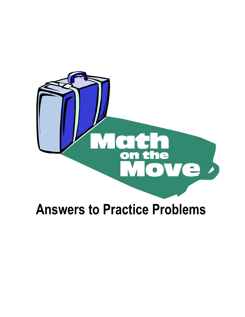

# **Answers to Practice Problems**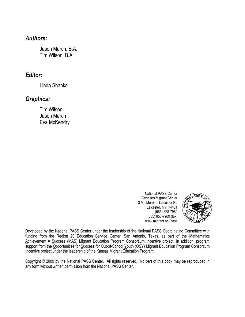## *Authors:*

Jason March, B.A. Tim Wilson, B.A.

## *Editor:*

Linda Shanks

## *Graphics:*

Tim Wilson Jason March Eva McKendry

> National PASS Center Geneseo Migrant Center 3 Mt. Morris – Leicester Rd Leicester, NY 14481 (585) 658-7960 (585) 658-7969 (fax) www.migrant.net/pass



Developed by the National PASS Center under the leadership of the National PASS Coordinating Committee with funding from the Region 20 Education Service Center, San Antonio, Texas, as part of the Mathematics Achievement = Success (MAS) Migrant Education Program Consortium Incentive project. In addition, program support from the Opportunities for Success for Out-of-School Youth (OSY) Migrant Education Program Consortium Incentive project under the leadership of the Kansas Migrant Education Program.

Copyright © 2009 by the National PASS Center. All rights reserved. No part of this book may be reproduced in any form without written permission from the National PASS Center.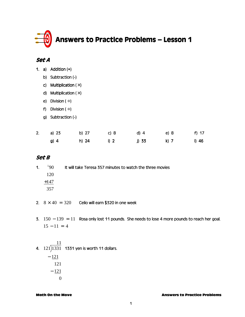

|  |  | 1. a) Addition $(+)$ |  |
|--|--|----------------------|--|
|--|--|----------------------|--|

- b) Subtraction (-)
- c) Multiplication  $(x)$
- d) Multiplication  $(X)$

e) Division  $(+)$ 

- f) Division  $(+)$
- g) Subtraction (-)

| 2. a) $23$ | b) 27 | $\sim$ C) 8 | $d)$ 4 | e) 8 | $f)$ 17 |
|------------|-------|-------------|--------|------|---------|
| g) 4       | h) 24 | i) 2        | j) 33  | k) 7 | I) 46   |

### Set B

| $\overline{1}$ QO $\overline{1}$ | It will take Teresa 357 minutes to watch the three movies |
|----------------------------------|-----------------------------------------------------------|
| 120                              |                                                           |
| $+147$                           |                                                           |
| 357                              |                                                           |
|                                  |                                                           |

- 2.  $8 \times 40 = 320$  Celio will earn \$320 in one week
- 3.  $150 139 = 11$  Rosa only lost 11 pounds. She needs to lose 4 more pounds to reach her goal.  $15 - 11 = 4$
- 4.  $121$ ) $1331$  1331 yen is worth 11 dollars. 11
	- $-121$ 121  $-121$  $\Omega$

#### Math On the Move Answers to Practice Problems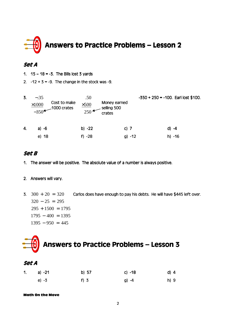

- 1.  $15 18 = -3$ . The Bills lost 3 yards
- 2.  $-12 + 3 = -9$ . The change in the stock was -9.

| 3. | $-.35$<br>$\times 1000$ | Cost to make<br>$\frac{1}{-350}$ 1000 crates | .50<br>$\times$ 500<br>$250 \leftarrow$ | Money earned<br>selling 500<br>crates | $-350 + 250 = -100$ . Earl lost \$100. |  |
|----|-------------------------|----------------------------------------------|-----------------------------------------|---------------------------------------|----------------------------------------|--|
| 4. | a) $-6$                 |                                              | b) $-22$                                | c) $7$                                | d) -4                                  |  |
|    | e) 18                   |                                              | f) $-28$                                | g) $-12$                              | $h) -16$                               |  |

### Set B

1. The answer will be positive. The absolute value of a number is always positive.

#### 2. Answers will vary.

**3.**  $300 + 20 = 320$  $320 - 25 = 295$  $295 + 1500 = 1795$  $1795 - 400 = 1395$  $1395 - 950 = 445$ Carlos does have enough to pay his debts. He will have \$445 left over.

# Answers to Practice Problems - Lesson 3

#### Set A

| 1. a) $-21$ | b) 57  | c) -18 | d) 4 |
|-------------|--------|--------|------|
| e) -3       | $f)$ 3 | g) -4  | h) 9 |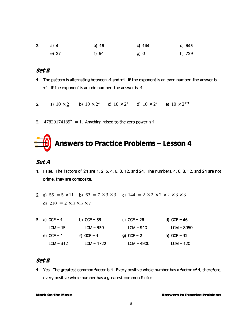| 2. a) 4 | b) 16 | c) 144 | d) 343 |
|---------|-------|--------|--------|
| e) 27   | f) 64 | g) 0   | h) 729 |

- 1. The pattern is alternating between -1 and +1. If the exponent is an even number, the answer is  $+1$ . If the exponent is an odd number, the answer is -1.
- **2.** a)  $10 \times 2^1$  b)  $10 \times 2^2$  c)  $10 \times 2^3$  d)  $10 \times 2^9$  e)  $10 \times 2^{n-1}$
- 3.  $47829174189^0 = 1$ . Anything raised to the zero power is 1.

## Answers to Practice Problems - Lesson 4

#### Set A

- 1. False. The factors of 24 are 1, 2, 3, 4, 6, 8, 12, and 24. The numbers, 4, 6, 8, 12, and 24 are not prime, they are composite.
- 2. a)  $55 = 5 \times 11$  b)  $63 = 7 \times 3 \times 3$  c)  $144 = 2 \times 2 \times 2 \times 2 \times 3 \times 3$ d)  $210 = 2 \times 3 \times 5 \times 7$

| 3. a) $GCF = 1$ | b) GCF = $33$ | c) $GCF = 26$ | d) GCF = $46$ |
|-----------------|---------------|---------------|---------------|
| $ICM = 15$      | $ICM = 330$   | $LCM = 910$   | $ICM = 8050$  |
| e) GCF = $1$    | f) GCF = $1$  | g) GCF = $2$  | h) GCF = $12$ |
| $LCM = 312$     | $LCM = 1722$  | $LCM = 4900$  | $LCM = 120$   |

#### Set B

1. Yes. The greatest common factor is 1. Every positive whole number has a factor of 1; therefore, every positive whole number has a greatest common factor.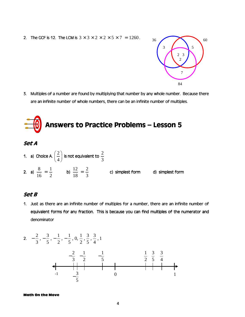2. The GCF is 12. The LCM is  $3 \times 3 \times 2 \times 2 \times 5 \times 7 = 1260$ .



3. Multiples of a number are found by multiplying that number by any whole number. Because there are an infinite number of whole numbers, there can be an infinite number of multiples.

# Answers to Practice Problems - Lesson 5

#### Set A

1. a) Choice A.  $\left(\frac{2}{n}\right)$  $\left(\frac{2}{4}\right)$  is not equivalent to  $\frac{2}{3}$ 2. a)  $\frac{8}{11} = \frac{1}{11}$ 16 2  $=\frac{1}{2}$  b)  $\frac{12}{10} = \frac{2}{3}$ 18 3  $=\frac{2}{3}$  c) simplest form d) simplest form

### Set B

1. Just as there are an infinite number of multiples for a number, there are an infinite number of equivalent forms for any fraction. This is because you can find multiples of the numerator and denominator

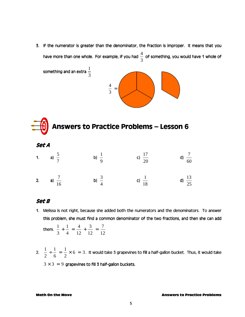3. If the numerator is greater than the denominator, the fraction is improper. It means that you have more than one whole. For example, if you had  $\overset{4}{-}$ 3 of something, you would have 1 whole of



## Answers to Practice Problems - Lesson 6

Set A

| 1. a) $\frac{5}{7}$  | b) $\frac{1}{9}$ | c) $\frac{17}{20}$ | d) $\frac{7}{60}$  |
|----------------------|------------------|--------------------|--------------------|
| 2. a) $\frac{7}{16}$ | b) $\frac{3}{4}$ | c) $\frac{1}{18}$  | d) $\frac{13}{25}$ |

#### Set B

1. Melissa is not right, because she added both the numerators and the denominators. To answer this problem, she must find a common denominator of the two fractions, and then she can add

them. 
$$
\frac{1}{3} + \frac{1}{4} = \frac{4}{12} + \frac{3}{12} = \frac{7}{12}
$$

2.  $\frac{1}{2} \div \frac{1}{4} = \frac{1}{2} \times 6 = 3$ 2 6 2  $\frac{1}{\tau} = \frac{1}{\tau} \times 6 = 3$ . It would take 3 grapevines to fill a half-gallon bucket. Thus, it would take  $3 \times 3 = 9$  grapevines to fill 3 half-gallon buckets.

#### Math On the Move Answers to Practice Problems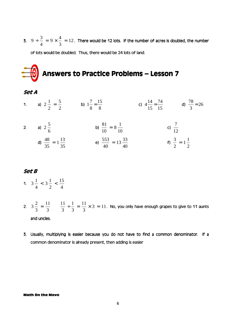**3.**  $9 \div \frac{3}{4} = 9 \times \frac{4}{3} = 12$ 4 3  $\frac{1}{\tau^2}$  = 9  $\times \frac{1}{\tau^2}$  = 12. There would be 12 lots. If the number of acres is doubled, the number of lots would be doubled. Thus, there would be 24 lots of land.

# Answers to Practice Problems - Lesson 7

- Set A
- 1. a)  $2\frac{1}{2} = \frac{5}{2}$ 2 2  $=\frac{5}{2}$  b)  $1\frac{7}{8} = \frac{15}{8}$ 8 8  $=\frac{15}{8}$  c)  $4\frac{14}{15} = \frac{74}{15}$ 15 15  $=\frac{74}{15}$  d)  $\frac{78}{3} = 26$ 3  $=26$ 2. a)  $2\frac{5}{5}$ b)  $\frac{81}{10} = 8\frac{1}{10}$  $= 8 \frac{1}{10}$  c)  $\frac{7}{10}$
- 6 10 10 12 d)  $\frac{48}{35} = 1\frac{13}{35}$ 35 35  $= 1\frac{13}{25}$   $= 13\frac{33}{10}$ 40 40  $= 13 \frac{33}{10}$  f)  $\frac{3}{2} = 1 \frac{1}{2}$ 2 2  $= 1 \frac{1}{2}$

### Set B

- 1.  $3\frac{1}{1} < 3\frac{1}{2} < \frac{15}{1}$ 4 2 4  $<$  3  $\frac{1}{2}$   $<$   $\frac{15}{1}$
- 2.  $3\frac{2}{3} = \frac{11}{3}$   $\frac{11}{3} \div \frac{1}{3} = \frac{11}{3} \times 3 = 11$ 3 3 3 3 3  $=\frac{11}{2}$   $\frac{11}{2} \div \frac{1}{2} = \frac{11}{2} \times 3 = 11$ . No, you only have enough grapes to give to 11 aunts and uncles.
- 3. Usually, multiplying is easier because you do not have to find a common denominator. If a common denominator is already present, then adding is easier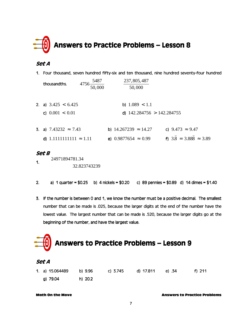

1. Four thousand, seven hundred fifty-six and ten thousand, nine hundred seventy-four hundred

| thousandths.                                                       | $4756 \frac{5487}{ }$<br>50,000 | 237, 805, 487<br>50,000                                     |                                                          |
|--------------------------------------------------------------------|---------------------------------|-------------------------------------------------------------|----------------------------------------------------------|
| 2. a) $3.425 < 6.425$<br>c) $0.001 < 0.01$                         |                                 | b) $1.089 < 1.1$<br>d) $142.284756 > 142.284755$            |                                                          |
| 5. a) $7.43232 \approx 7.43$<br>$1.1111111111 \approx 1.11$<br>d). |                                 | b) $14.267239 \approx 14.27$<br>e) $0.9877654 \approx 0.99$ | c) $9.473 \approx 9.47$<br>f) $3.8 = 3.888 \approx 3.89$ |

#### Set B

- 1. 24971894781.34 32.823743239
- 2. a) 1 quarter =  $$0.25$  b) 4 nickels =  $$0.20$  c) 89 pennies =  $$0.89$  d) 14 dimes =  $$1.40$
- 3. If the number is between 0 and 1, we know the number must be a positive decimal. The smallest number that can be made is .025, because the larger digits at the end of the number have the lowest value. The largest number that can be made is .520, because the larger digits go at the beginning of the number, and have the largest value.

## Answers to Practice Problems - Lesson 9

#### Set A

1. a) 15.064489 b) 9.96 c) 3.745 d) 17.811 e) .34 f) 211 g) 79.04 h) 20.2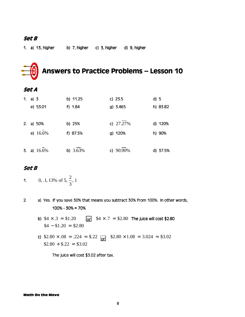1. a) 13, higher b) 7, higher c) 3, higher d) 9, higher

## Answers to Practice Problems - Lesson 10

#### Set A

| $1_{-}$ | a) 3           | b) 11.25   | c) $23.5$   | $d)$ 5   |
|---------|----------------|------------|-------------|----------|
|         | e) 53.01       | f) 1.84    | $g)$ 3.465  | h) 83.82 |
|         | 2. a) 50%      | b) 25%     | c) $27.27%$ | d) 120%  |
|         | e) 16.6%       | f) 87.5%   | g) 120%     | h) 90%   |
|         | 3. a) $16.6\%$ | b) $3.63%$ | c) 90.90%   | d) 37.5% |

### Set B

#### 1. 0, .1, 13% of 5,  $\frac{2}{3}$ , 1 3

- 2. a) Yes. If you save 30% that means you subtract 30% from 100%. In other words,  $100\% - 30\% = 70\%$ 
	- b)  $$4 \times .3 = $1.20$  $$4 - $1.20 = $2.80$  $or$  \$4  $\times$  .7 = \$2.80 The juice will cost \$2.80
	- c)  $$2.80 \times .08 = .224 \approx $.22$  or  $$2.80 \times 1.08 = 3.024 \approx $3.02$  $$2.80 + $22 = $3.02$

The juice will cost \$3.02 after tax.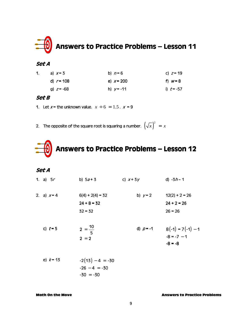

| 1. | a) $x=3$     | b) $n=6$     | c) $z = 19$  |
|----|--------------|--------------|--------------|
|    | d) $r = 108$ | e) $x = 200$ | f) $w = 8$   |
|    | g) $z = -68$ | h) $y = -11$ | i) $t = -57$ |

#### Set B

1. Let  $x =$  the unknown value.  $x \div 6 = 1.5$ .  $x = 9$ 

2. The opposite of the square root is squaring a number.  $\left(\sqrt{x}\right)^2 ~=~ x$ 



### Set A

| 1. a) $5r$    | b) $5a + 3$        | c) $x+3y$   | d) $-3h-1$                           |
|---------------|--------------------|-------------|--------------------------------------|
| 2. a) $x = 4$ | $6(4) + 2(4) = 32$ | b) $y=2$    | $12(2) + 2 = 26$                     |
|               | $24 + 8 = 32$      |             | $24 + 2 = 26$                        |
|               | $32 - 32$          |             | $26 = 26$                            |
| c) $t = 5$    | $2 = \frac{10}{5}$ | d) $p = -1$ | $8(-1) = 7(-1) - 1$<br>$-8 = -7 - 1$ |
|               | $2 = 2$            |             | $-8 = -8$                            |
| e) $k = 13$   | $-2(13) - 4 = -30$ |             |                                      |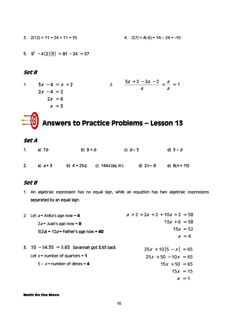3.  $2(12) + 11 = 24 + 11 = 35$ <br>4.  $2(7) + 4(-6) = 14 - 24 = -10$ 

5.  $9^2 - 4(2)(3) = 81 - 24 = 57$ 

#### Set B

1.  $3x - 4 = x + 2$  $2x - 4 = 2$  $2x = 6$  $x = 3$ 2.  $\frac{3a+2-2a-2}{2} = \frac{a}{2} = 1$  $\frac{2a}{a} = \frac{a}{a} = 1$ 

## Answers to Practice Problems - Lesson 13

Set A

| 1. a) $7b$  | b) $9 + b$ |                                  | c) $b - 3$        | d) $3 - b$   |
|-------------|------------|----------------------------------|-------------------|--------------|
| 2. a) $a+3$ |            | b) $4 + 25q$ c) $144x$ (sq. in.) | d) 2 <i>n</i> – 8 | e) $6(n+15)$ |

#### Set B

1. An algebraic expression has no equal sign, while an equation has two algebraic expressions separated by an equal sign.

| 2. Let $a =$ Anita's age now = 4               | $a + 2 + 2a + 2 + 10a + 2 = 58$ |
|------------------------------------------------|---------------------------------|
| $2a =$ Juan's age now = 8                      | $13a + 6 = 58$                  |
| $5(2a) = 10a =$ Father's age now = 40          | $13a = 52$                      |
|                                                | $a = 4$                         |
| 3. $$5 - $4.35 = $.65$ Savannah got \$.65 back | $25x + 10(5 - x) = 65$          |
| Let $x =$ number of quarters = 1               | $25x + 50 - 10x = 65$           |
| $5 - x =$ number of dimes = 4                  | $15x + 50 = 65$                 |
|                                                | $15x = 15$                      |
|                                                | $x = 1$                         |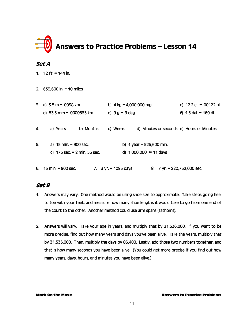

1. 12 ft. = 144 in.

2.  $633,600$  in. = 10 miles

|    | 3. a) $3.8 \text{ m} = .0038 \text{ km}$ | b) $4 \text{ kg} = 4,000,000 \text{ mg}$                                              | c) $12.2$ cL = .00122 hL |  |
|----|------------------------------------------|---------------------------------------------------------------------------------------|--------------------------|--|
|    | d) 53.3 mm = .0000533 km                 | e) $9 g = .9 dag$                                                                     | f) $1.6$ dal = $160$ dl  |  |
| 4. | b) Months<br>a) Years                    | d) Minutes or seconds e) Hours or Minutes<br>c) Weeks                                 |                          |  |
| 5. | a) 15 min. = 900 sec.                    | b) 1 year = $525,600$ min.                                                            |                          |  |
|    | c) $175$ sec. = 2 min. 55 sec.           | d) 1,000,000 $\approx$ 11 days                                                        |                          |  |
|    | 6. $15 \text{ min.} = 900 \text{ sec.}$  | 7. $3 \text{ yr} = 1095 \text{ days}$<br>8. $7 \text{ yr} = 220,752,000 \text{ sec.}$ |                          |  |

### Set B

- 1. Answers may vary. One method would be using shoe size to approximate. Take steps going heel to toe with your feet, and measure how many shoe lengths it would take to go from one end of the court to the other. Another method could use arm spans (fathoms).
- 2. Answers will vary. Take your age in years, and multiply that by 31,536,000. If you want to be more precise, find out how many years and days you've been alive. Take the years, multiply that by 31,536,000. Then, multiply the days by 86,400. Lastly, add those two numbers together, and that is how many seconds you have been alive. (You could get more precise if you find out how many years, days, hours, and minutes you have been alive.)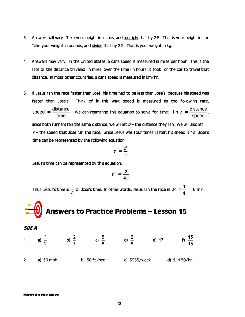- 3. Answers will vary. Take your height in inches, and multiply multiply that by 2.5. That is your height in cm. Take your weight in pounds, and divide that by 2.2. That is your weight in kg.
- 4. Answers may vary. In the United States, a car's speed is measured in miles per hour. This is the rate of the distance traveled (in miles) over the time (in hours) it took for the car to travel that distance. In most other countries, a car's speed is measured in km/hr.
- 5. If Jesús ran the race faster than José, his time had to be less than José's, because his speed was faster than José's. Think of it this way: speed is measured as the following rate,  $speed = \frac{distance}{\sqrt{noise}}$ time  $=$  distance . We can rearrange this equation to solve for time: time  $=$  distance speed  $=$   $\frac{arctan 1}{1}$ . Since both runners ran the same distance, we will let  $d =$  the distance they ran. We will also let  $s$  = the speed that José ran the race. Since Jesús was four times faster, his speed is 4s. José's time can be represented by the following equation.

$$
t = \frac{d}{s}
$$

Jesús's time can be represented by this equation.

$$
t'=\frac{d}{4s}
$$

Thus, Jesús's time is  $\frac{1}{2}$ 4 of José's time. In other words, Jesús ran the race in  $24 \times \frac{1}{2} = 6$  min. 4  $x - 6$  min.

## **Q** Answers to Practice Problems – Lesson 15

Set A

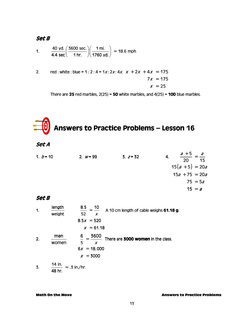1. 
$$
\frac{40 \text{ yd.}}{4.4 \text{ sec}} \left( \frac{3600 \text{ sec.}}{1 \text{ hr.}} \right) \left( \frac{1 \text{ mi.}}{1760 \text{ yd.}} \right) \approx 18.6 \text{ mph}
$$

2. red : white : blue = 1 : 2 : 4 = 1x : 2x : 4x.  $x + 2x + 4x = 175$  $7x = 175$  $x = 25$ 

There are 25 red marbles,  $2(25) = 50$  white marbles, and  $4(25) = 100$  blue marbles.

## Answers to Practice Problems – Lesson 16

### Set A

| 2. $w = 99$ | $3. z = 32$ | $\overline{4}$ . | $\frac{a+5}{20} = \frac{a}{15}$ |
|-------------|-------------|------------------|---------------------------------|
|             |             |                  | $15(a + 5) = 20a$               |
|             |             |                  | $15a + 75 = 20a$                |
|             |             |                  | $75 = 5a$                       |
|             |             |                  | $15 = a$                        |
|             |             |                  |                                 |

#### Set B

| 1. | length<br>weight | 8.5<br>$=$ $\frac{10}{10}$<br>A 10 cm length of cable weighs 61.18 g.<br>52<br>X |
|----|------------------|----------------------------------------------------------------------------------|
|    |                  | $8.5x = 520$<br>$x \approx 61.18$                                                |
| 2. | men<br>women     | 3600<br>6<br>There are 3000 women in the class.<br>5<br>X                        |
|    |                  | $6x = 18,000$                                                                    |
|    |                  | $x = 3000$                                                                       |
|    | 14 in.           |                                                                                  |

3.  $\frac{14 \text{ in.}}{121 \text{ s}} \approx .3 \text{ in./hr.}$ 48 hr. ≈ .3 in./hr.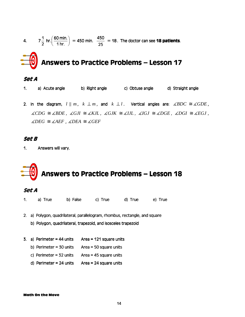4. 
$$
7\frac{1}{2}
$$
 hr.  $\left(\frac{60 \text{ min.}}{1 \text{ hr.}}\right)$  = 450 min.  $\frac{450}{25}$  = 18. The doctor can see **18 patients**.  
\n**Answers to Practice Problems – Lesson 17**  
\n**Set A**

- 1. a) Acute angle b) Right angle c) Obtuse angle d) Straight angle
- 2. In the diagram,  $l \parallel m$ ,  $k \perp m$ , and  $k \perp l$ . Vertical angles are:  $\measuredangle BDC \cong \measuredangle GDE$ ,  $\angle$ *CDG*  $\cong$   $\angle$ *BDE*,  $\angle$ *GJI*  $\cong$   $\angle$ *KJL*,  $\angle$ *GJI*  $\cong$   $\angle$ *ZDGE*,  $\angle$ *DGI*  $\cong$   $\angle$ *EGJ*,  $\angle$ *DEG*  $\cong$  ∠*AEF*, ∠*DEA*  $\cong$  ∠*GEF*

1. Answers will vary.

## Answers to Practice Problems - Lesson 18

#### Set A

- 1. a) True b) False c) True d) True e) True
- 2. a) Polygon, quadrilateral, parallelogram, rhombus, rectangle, and square
	- b) Polygon, quadrilateral, trapezoid, and isosceles trapezoid
- 3. a) Perimeter = 44 units Area = 121 square units
	- b) Perimeter = 30 units  $Area = 50$  square units
	- c) Perimeter = 32 units  $Area = 45$  square units
	- d) Perimeter = 24 units  $\overline{A}$  Area = 24 square units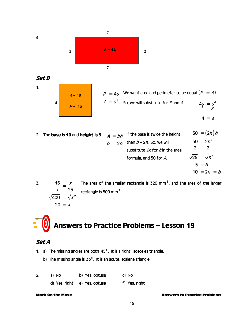

Set B1.  $A = 16$  $P = 16$ 4

 $P = 4s$  We want area and perimeter to be equal  $(P = A)$ . So, we will substitute for P and A. = =  $P = 4s$  $A = s^2$ 4  $4\frac{1}{2} = 5^2$  $4 = s$ s s

2. The **base is 10** and **height is 5** 
$$
A = bh
$$
 If the base is twice the height, 
$$
50 = (2h)h
$$

$$
b = 2h
$$
 then  $b = 2h$ . So, we will  
substitute 2h for b in the area  
formula, and 50 for A.
$$
\sqrt{25} = \sqrt{h^2}
$$

$$
5 = h
$$

$$
10 = 2h = b
$$

3. The area of the smaller rectangle is 320 mm<sup>2</sup>, and the area of the larger rectangle is 500 mm $^2$ .  $\sqrt{400} = \sqrt{x^2}$ 16 25 400  $20 = x$ x x x = =

Answers to Practice Problems – Practice Problems – Lesson 19 Lesson 19 19

### Set A

- 1. a) The missing angles are both  $45^\circ$ . It is a right, isosceles triangle.
	- b) The missing angle is  $33^\circ$ . It is an acute, scalene triangle.

| a) No | b) Yes, obtuse               | c) No         |
|-------|------------------------------|---------------|
|       | d) Yes, right e) Yes, obtuse | f) Yes, right |

Math On the Move Answers to Practice Problems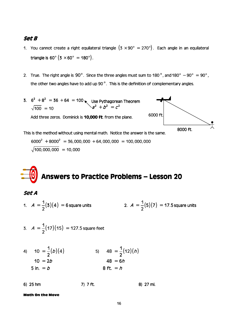- 1. You cannot create a right equilateral triangle  $(3 \times 90^\circ = 270^\circ)$ . Each angle in an equilateral triangle is  $60^{\circ}$  (3  $\times$  60 $^{\circ}$  = 180 $^{\circ}$ ).
- 2. True. The right angle is 90°. Since the three angles must sum to 180°, and 180° 90° = 90°, the other two angles have to add up 90 $^{\circ}$ . This is the definition of complementary angles.
- 3.  $6^2 + 8^2 = 36 + 64 =$ =  $6^2 + 8^2 = 36 + 64 = 100$  $100 = 10$ K Use Pythagorean Theorem Add three zeros. Dominick is **10,000 ft**. from the plane. This is the method without using mental math. Notice the answer is the same. 8000 ft. 6000 ft. 6000 ft.  $a^2 + b^2 = c^2$

 $6000^2 + 8000^2 = 36,000,000 + 64,000,000 = 100,000,000$  $100,000,000 = 10,000$ 

# Answers to Practice Problems - Lesson 20

Set A

- 1.  $A = \frac{1}{2}(3)(4) = 6$  $A = \frac{1}{2}(3)(4) = 6$  square units 2.  $A = \frac{1}{2}(5)(7) = 17.5$ 2  $A = -(5)(7) = 17.5$  square units
- 3.  $A = \frac{1}{2}(17)(15) = 127.5$ 2  $A = -(17)(15) = 127.5$  square feet

4) 
$$
10 = \frac{1}{2}(b)(4)
$$
  
\n $10 = 2b$   
\n5)  $48 = \frac{1}{2}(12)(h)$   
\n $48 = 6h$   
\n6)  $48 = 6h$   
\n8)  $6 + 1 = h$ 

6) 25 hm 25 hm ) hm 7) 7 ft. ft. ft. 8) 27 mi. 27 mi. mi.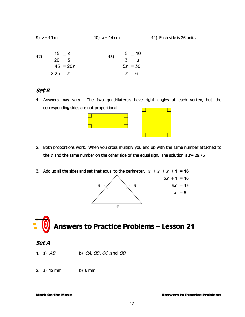| 9) $z = 10$ mi. | 10) $x = 14$ cm | 11) Each side is 26 units |
|-----------------|-----------------|---------------------------|
|-----------------|-----------------|---------------------------|

| 12) | 15<br>s.<br>$- = -$<br>20 3 | 13) | -10<br>5<br>$- = -$<br>$3 \quad s$ |
|-----|-----------------------------|-----|------------------------------------|
|     | $45 = 20s$                  |     | $5s = 30$                          |
|     | $2.25 = s$                  |     | $s = 6$                            |

1. Answers may vary. The two quadrilaterals have right angles at each vertex, but the corresponding sides are not proportional.



- 2. Both proportions work. When you cross multiply you end up with the same number attached to the z, and the same number on the other side of the equal sign. The solution is  $z = 29.75$
- 3. Add up all the sides and set that equal to the perimeter.  $x + x + x + 1 = 16$





### Set A

- 1. a)  $\overline{AB}$  b)  $\overline{OA}$ ,  $\overline{OB}$ ,  $\overline{OC}$ , and  $\overline{OD}$
- 2. a) 12 mm b) 6 mm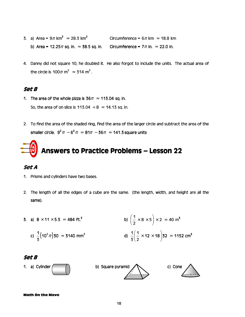- 3. a) Area =  $9\pi$  km<sup>2</sup>  $\approx$  28.3 km<sup>2</sup> Circumference =  $6\pi$  km  $\approx$  18.8 km b) Area =  $12.25\pi$  sq. in.  $\approx$  38.5 sq. in. Circumference =  $7\pi$  in.  $\approx$  22.0 in.
- 4. Danny did not square 10, he doubled it. He also forgot to include the units. The actual area of the circle is  $100\pi$  m<sup>2</sup>  $\approx 314$  m<sup>2</sup>.

- 1. The area of the whole pizza is  $36\pi \approx 113.04$  sq. in. So, the area of on slice is  $113.04 \div 8 = 14.13$  sq. in.
- 2. To find the area of the shaded ring, find the area of the larger circle and subtract the area of the smaller circle.  $9^2\pi$  –  $6^2\pi$  =  $81\pi$  – 36 $\pi$   $\approx$  141.3 square units

## Answers to Practice Problems - Lesson 22

#### Set A

- 1. Prisms and cylinders have two bases.
- 2. The length of all the edges of a cube are the same. (the length, width, and height are all the same).

3. a) 
$$
8 \times 11 \times 5.5 = 484 \text{ ft.}^3
$$
  
b)  $\left(\frac{1}{2} \times 8 \times 5\right) \times 2 = 40 \text{ m}^3$   
c)  $\frac{1}{3} (10^2 \pi) 30 \approx 3140 \text{ mm}^3$   
d)  $\frac{1}{3} \left(\frac{1}{2} \times 12 \times 18\right) 32 = 1152 \text{ cm}^3$ 

#### Set B

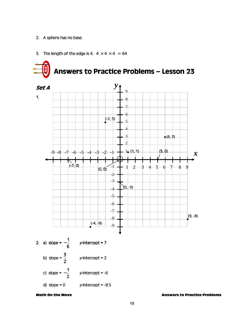2. A sphere has no base.



3. The length of the edge is 4.  $4 \times 4 \times 4 = 64$